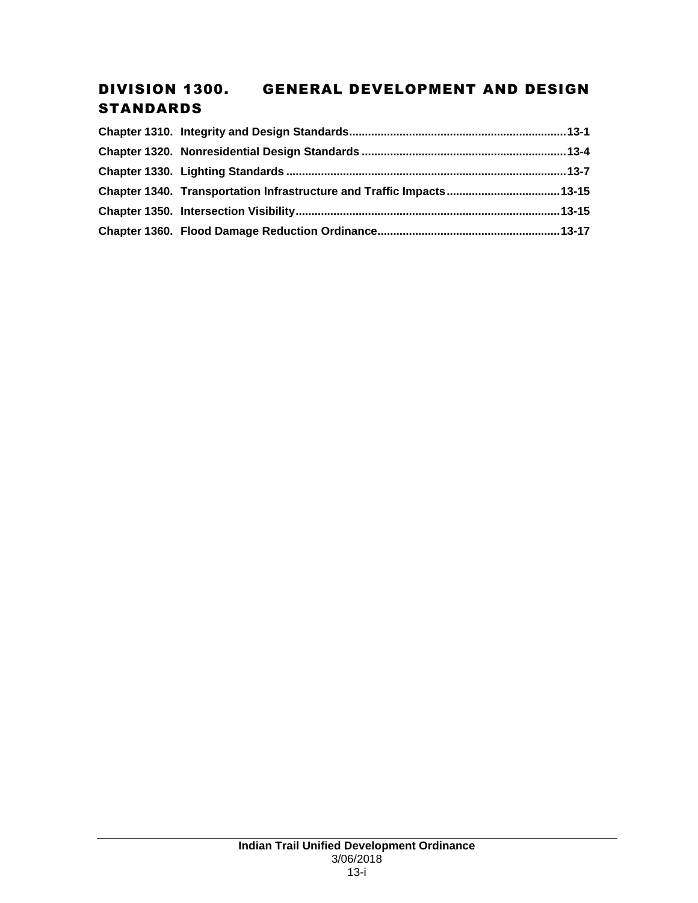# DIVISION 1300. GENERAL DEVELOPMENT AND DESIGN STANDARDS

| Chapter 1340. Transportation Infrastructure and Traffic Impacts 13-15 |  |
|-----------------------------------------------------------------------|--|
|                                                                       |  |
|                                                                       |  |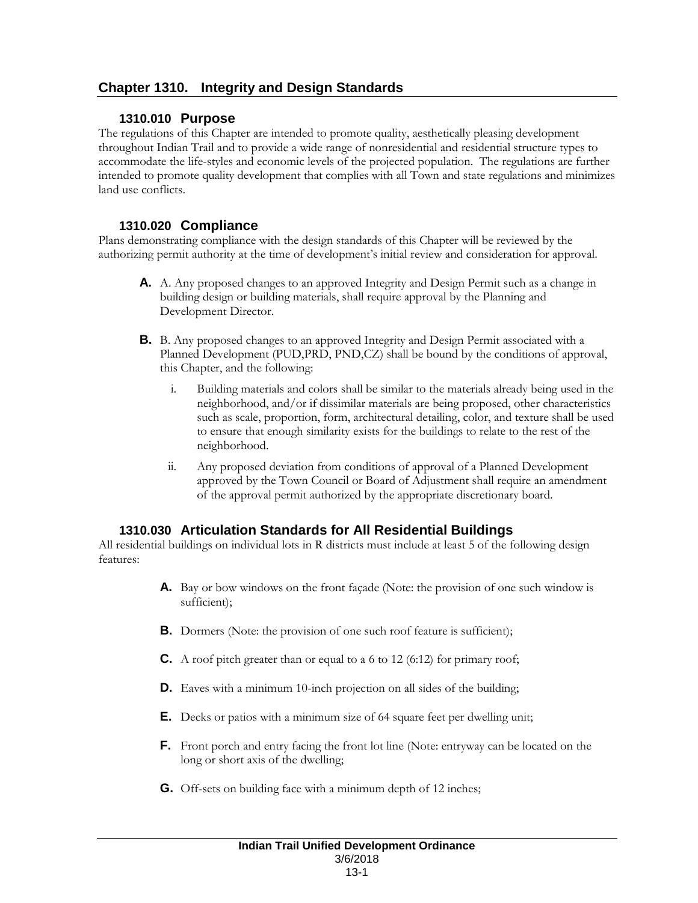# **Chapter 1310. Integrity and Design Standards**

### **1310.010 Purpose**

The regulations of this Chapter are intended to promote quality, aesthetically pleasing development throughout Indian Trail and to provide a wide range of nonresidential and residential structure types to accommodate the life-styles and economic levels of the projected population. The regulations are further intended to promote quality development that complies with all Town and state regulations and minimizes land use conflicts.

### **1310.020 Compliance**

Plans demonstrating compliance with the design standards of this Chapter will be reviewed by the authorizing permit authority at the time of development's initial review and consideration for approval.

- **A.** A. Any proposed changes to an approved Integrity and Design Permit such as a change in building design or building materials, shall require approval by the Planning and Development Director.
- **B.** B. Any proposed changes to an approved Integrity and Design Permit associated with a Planned Development (PUD,PRD, PND,CZ) shall be bound by the conditions of approval, this Chapter, and the following:
	- i. Building materials and colors shall be similar to the materials already being used in the neighborhood, and/or if dissimilar materials are being proposed, other characteristics such as scale, proportion, form, architectural detailing, color, and texture shall be used to ensure that enough similarity exists for the buildings to relate to the rest of the neighborhood.
	- ii. Any proposed deviation from conditions of approval of a Planned Development approved by the Town Council or Board of Adjustment shall require an amendment of the approval permit authorized by the appropriate discretionary board.

## **1310.030 Articulation Standards for All Residential Buildings**

All residential buildings on individual lots in R districts must include at least 5 of the following design features:

- **A.** Bay or bow windows on the front façade (Note: the provision of one such window is sufficient);
- **B.** Dormers (Note: the provision of one such roof feature is sufficient);
- **C.** A roof pitch greater than or equal to a 6 to 12 (6:12) for primary roof;
- **D.** Eaves with a minimum 10-inch projection on all sides of the building;
- **E.** Decks or patios with a minimum size of 64 square feet per dwelling unit;
- **F.** Front porch and entry facing the front lot line (Note: entryway can be located on the long or short axis of the dwelling;
- **G.** Off-sets on building face with a minimum depth of 12 inches;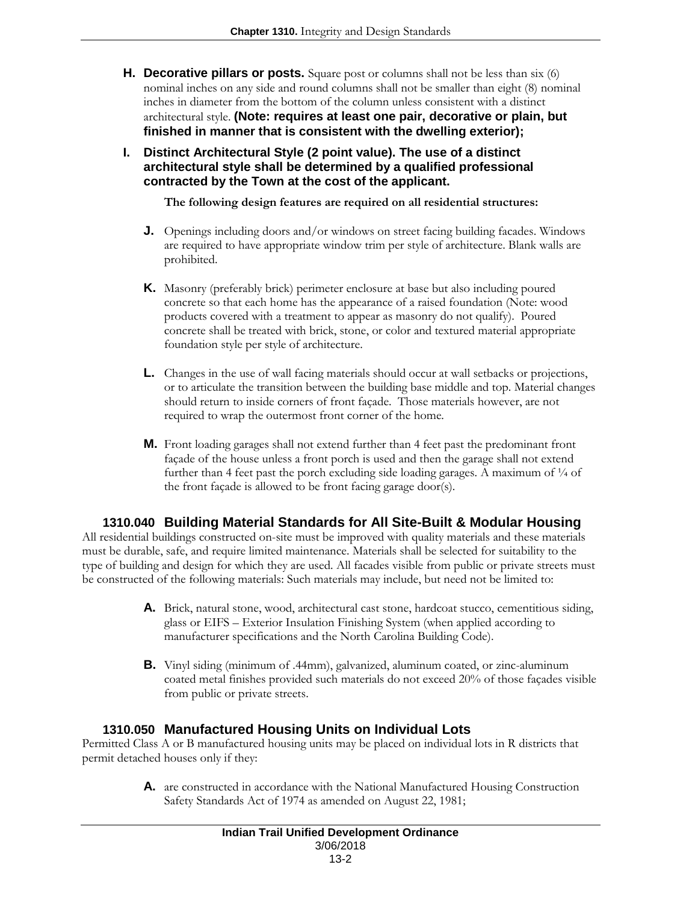- **H. Decorative pillars or posts.** Square post or columns shall not be less than six (6) nominal inches on any side and round columns shall not be smaller than eight (8) nominal inches in diameter from the bottom of the column unless consistent with a distinct architectural style. **(Note: requires at least one pair, decorative or plain, but finished in manner that is consistent with the dwelling exterior);**
- **I. Distinct Architectural Style (2 point value). The use of a distinct architectural style shall be determined by a qualified professional contracted by the Town at the cost of the applicant.**

**The following design features are required on all residential structures:**

- **J.** Openings including doors and/or windows on street facing building facades. Windows are required to have appropriate window trim per style of architecture. Blank walls are prohibited.
- **K.** Masonry (preferably brick) perimeter enclosure at base but also including poured concrete so that each home has the appearance of a raised foundation (Note: wood products covered with a treatment to appear as masonry do not qualify). Poured concrete shall be treated with brick, stone, or color and textured material appropriate foundation style per style of architecture.
- **L.** Changes in the use of wall facing materials should occur at wall setbacks or projections, or to articulate the transition between the building base middle and top. Material changes should return to inside corners of front façade. Those materials however, are not required to wrap the outermost front corner of the home.
- **M.** Front loading garages shall not extend further than 4 feet past the predominant front façade of the house unless a front porch is used and then the garage shall not extend further than 4 feet past the porch excluding side loading garages. A maximum of  $\frac{1}{4}$  of the front façade is allowed to be front facing garage door(s).

## **1310.040 Building Material Standards for All Site-Built & Modular Housing**

All residential buildings constructed on-site must be improved with quality materials and these materials must be durable, safe, and require limited maintenance. Materials shall be selected for suitability to the type of building and design for which they are used. All facades visible from public or private streets must be constructed of the following materials: Such materials may include, but need not be limited to:

- **A.** Brick, natural stone, wood, architectural cast stone, hardcoat stucco, cementitious siding, glass or EIFS – Exterior Insulation Finishing System (when applied according to manufacturer specifications and the North Carolina Building Code).
- **B.** Vinyl siding (minimum of .44mm), galvanized, aluminum coated, or zinc-aluminum coated metal finishes provided such materials do not exceed 20% of those façades visible from public or private streets.

## **1310.050 Manufactured Housing Units on Individual Lots**

Permitted Class A or B manufactured housing units may be placed on individual lots in R districts that permit detached houses only if they:

> **A.** are constructed in accordance with the National Manufactured Housing Construction Safety Standards Act of 1974 as amended on August 22, 1981;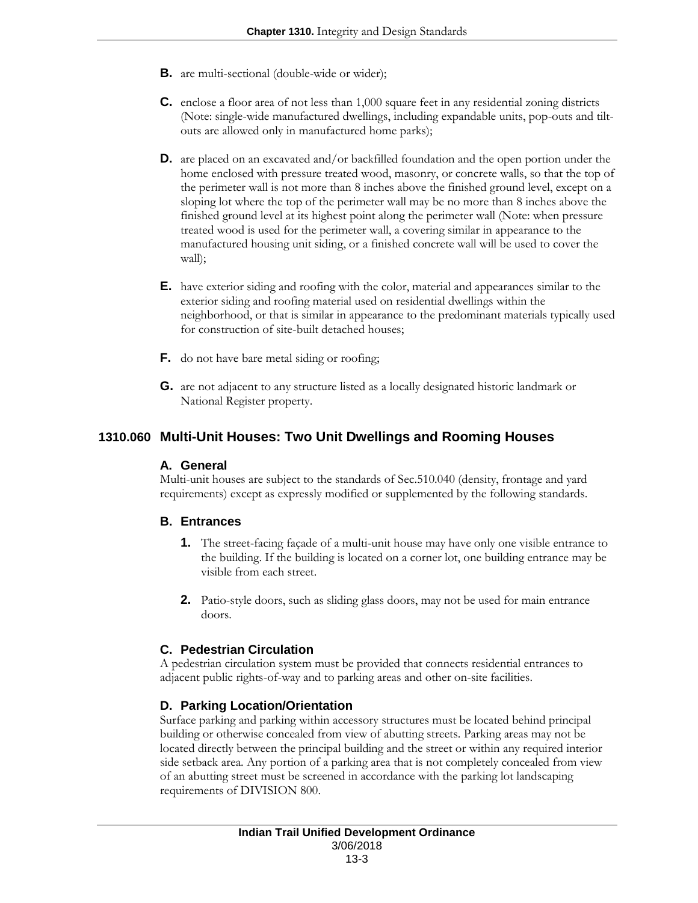- **B.** are multi-sectional (double-wide or wider);
- **C.** enclose a floor area of not less than 1,000 square feet in any residential zoning districts (Note: single-wide manufactured dwellings, including expandable units, pop-outs and tiltouts are allowed only in manufactured home parks);
- **D.** are placed on an excavated and/or backfilled foundation and the open portion under the home enclosed with pressure treated wood, masonry, or concrete walls, so that the top of the perimeter wall is not more than 8 inches above the finished ground level, except on a sloping lot where the top of the perimeter wall may be no more than 8 inches above the finished ground level at its highest point along the perimeter wall (Note: when pressure treated wood is used for the perimeter wall, a covering similar in appearance to the manufactured housing unit siding, or a finished concrete wall will be used to cover the wall);
- **E.** have exterior siding and roofing with the color, material and appearances similar to the exterior siding and roofing material used on residential dwellings within the neighborhood, or that is similar in appearance to the predominant materials typically used for construction of site-built detached houses;
- **F.** do not have bare metal siding or roofing;
- **G.** are not adjacent to any structure listed as a locally designated historic landmark or National Register property.

### **1310.060 Multi-Unit Houses: Two Unit Dwellings and Rooming Houses**

#### **A. General**

Multi-unit houses are subject to the standards of Sec.510.040 (density, frontage and yard requirements) except as expressly modified or supplemented by the following standards.

#### **B. Entrances**

- **1.** The street-facing façade of a multi-unit house may have only one visible entrance to the building. If the building is located on a corner lot, one building entrance may be visible from each street.
- **2.** Patio-style doors, such as sliding glass doors, may not be used for main entrance doors.

#### **C. Pedestrian Circulation**

A pedestrian circulation system must be provided that connects residential entrances to adjacent public rights-of-way and to parking areas and other on-site facilities.

#### **D. Parking Location/Orientation**

Surface parking and parking within accessory structures must be located behind principal building or otherwise concealed from view of abutting streets. Parking areas may not be located directly between the principal building and the street or within any required interior side setback area. Any portion of a parking area that is not completely concealed from view of an abutting street must be screened in accordance with the parking lot landscaping requirements of DIVISION 800.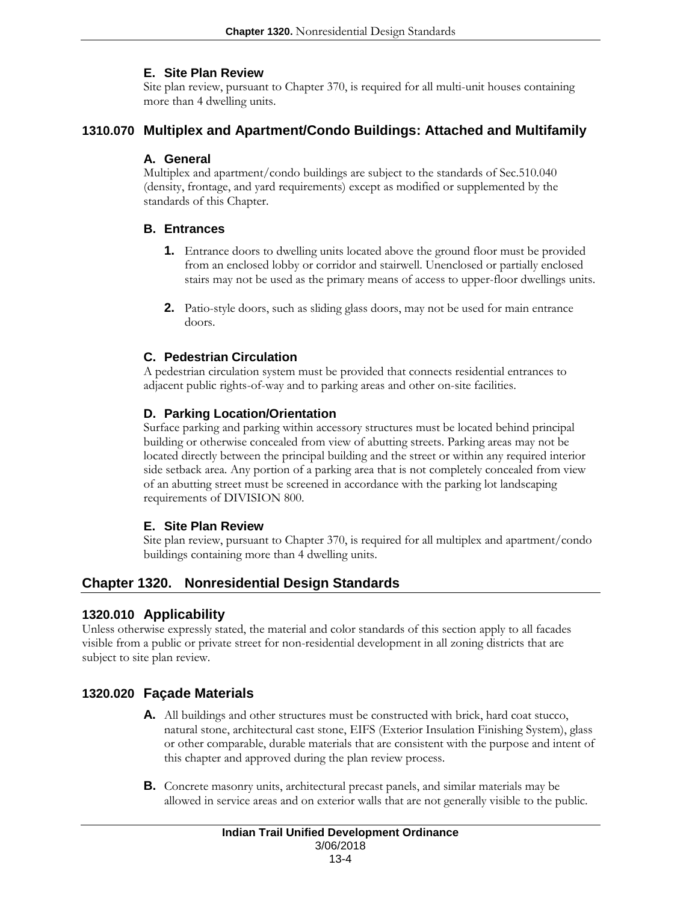#### **E. Site Plan Review**

Site plan review, pursuant to Chapter 370, is required for all multi-unit houses containing more than 4 dwelling units.

#### **1310.070 Multiplex and Apartment/Condo Buildings: Attached and Multifamily**

### **A. General**

Multiplex and apartment/condo buildings are subject to the standards of Sec.510.040 (density, frontage, and yard requirements) except as modified or supplemented by the standards of this Chapter.

#### **B. Entrances**

- **1.** Entrance doors to dwelling units located above the ground floor must be provided from an enclosed lobby or corridor and stairwell. Unenclosed or partially enclosed stairs may not be used as the primary means of access to upper-floor dwellings units.
- **2.** Patio-style doors, such as sliding glass doors, may not be used for main entrance doors.

### **C. Pedestrian Circulation**

A pedestrian circulation system must be provided that connects residential entrances to adjacent public rights-of-way and to parking areas and other on-site facilities.

#### **D. Parking Location/Orientation**

Surface parking and parking within accessory structures must be located behind principal building or otherwise concealed from view of abutting streets. Parking areas may not be located directly between the principal building and the street or within any required interior side setback area. Any portion of a parking area that is not completely concealed from view of an abutting street must be screened in accordance with the parking lot landscaping requirements of DIVISION 800.

#### **E. Site Plan Review**

Site plan review, pursuant to Chapter 370, is required for all multiplex and apartment/condo buildings containing more than 4 dwelling units.

## **Chapter 1320. Nonresidential Design Standards**

#### **1320.010 Applicability**

Unless otherwise expressly stated, the material and color standards of this section apply to all facades visible from a public or private street for non-residential development in all zoning districts that are subject to site plan review.

## **1320.020 Façade Materials**

- **A.** All buildings and other structures must be constructed with brick, hard coat stucco, natural stone, architectural cast stone, EIFS (Exterior Insulation Finishing System), glass or other comparable, durable materials that are consistent with the purpose and intent of this chapter and approved during the plan review process.
- **B.** Concrete masonry units, architectural precast panels, and similar materials may be allowed in service areas and on exterior walls that are not generally visible to the public.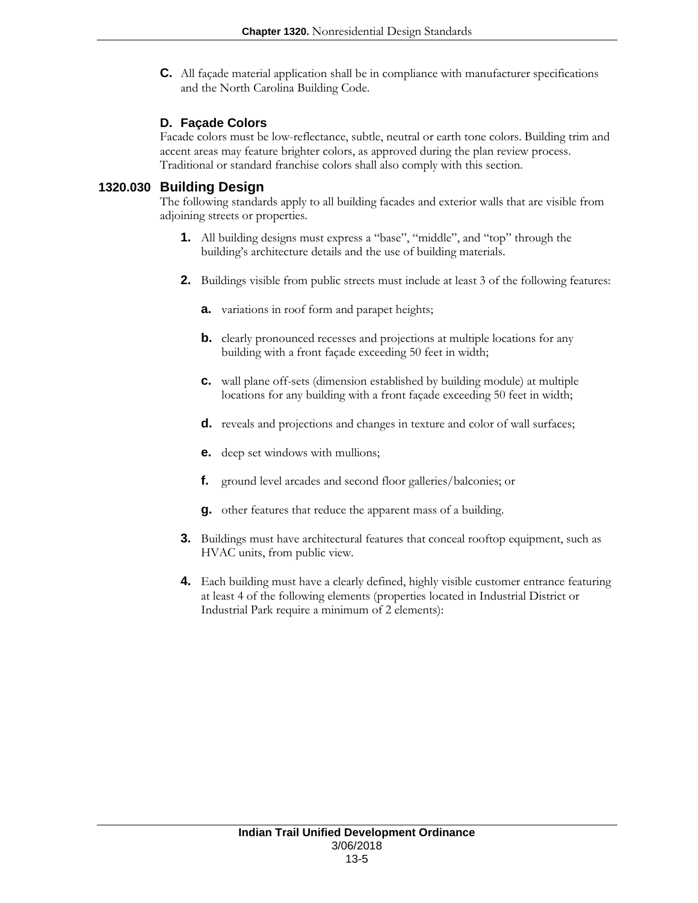**C.** All façade material application shall be in compliance with manufacturer specifications and the North Carolina Building Code.

### **D. Façade Colors**

Facade colors must be low-reflectance, subtle, neutral or earth tone colors. Building trim and accent areas may feature brighter colors, as approved during the plan review process. Traditional or standard franchise colors shall also comply with this section.

#### **1320.030 Building Design**

The following standards apply to all building facades and exterior walls that are visible from adjoining streets or properties.

- **1.** All building designs must express a "base", "middle", and "top" through the building's architecture details and the use of building materials.
- **2.** Buildings visible from public streets must include at least 3 of the following features:
	- **a.** variations in roof form and parapet heights;
	- **b.** clearly pronounced recesses and projections at multiple locations for any building with a front façade exceeding 50 feet in width;
	- **c.** wall plane off-sets (dimension established by building module) at multiple locations for any building with a front façade exceeding 50 feet in width;
	- **d.** reveals and projections and changes in texture and color of wall surfaces;
	- **e.** deep set windows with mullions;
	- **f.** ground level arcades and second floor galleries/balconies; or
	- **g.** other features that reduce the apparent mass of a building.
- **3.** Buildings must have architectural features that conceal rooftop equipment, such as HVAC units, from public view.
- **4.** Each building must have a clearly defined, highly visible customer entrance featuring at least 4 of the following elements (properties located in Industrial District or Industrial Park require a minimum of 2 elements):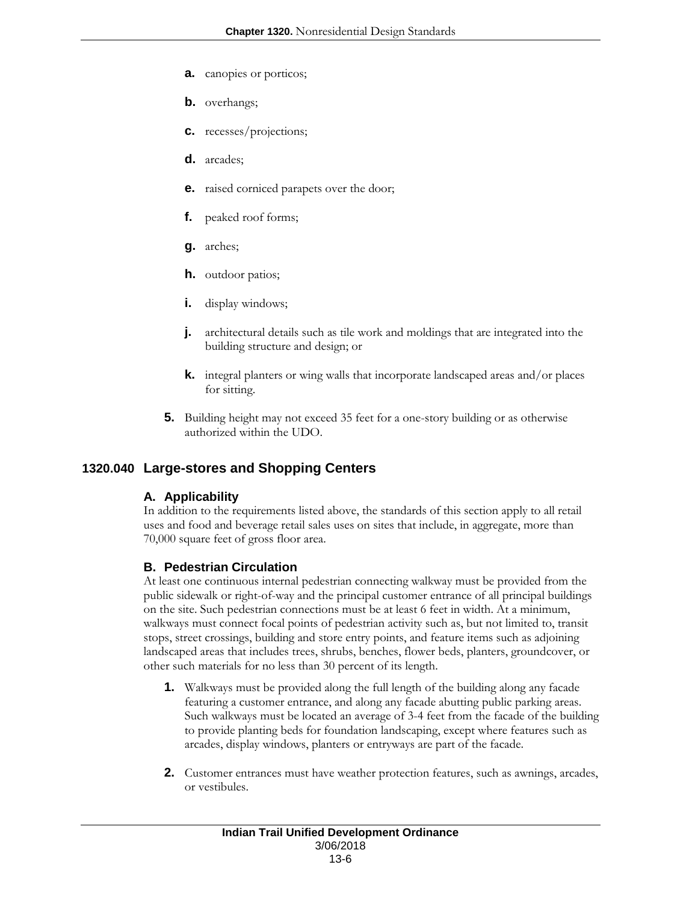- **a.** canopies or porticos;
- **b.** overhangs;
- **c.** recesses/projections;
- **d.** arcades;
- **e.** raised corniced parapets over the door;
- **f.** peaked roof forms;
- **g.** arches;
- **h.** outdoor patios;
- **i.** display windows;
- **j.** architectural details such as tile work and moldings that are integrated into the building structure and design; or
- **k.** integral planters or wing walls that incorporate landscaped areas and/or places for sitting.
- **5.** Building height may not exceed 35 feet for a one-story building or as otherwise authorized within the UDO.

## **1320.040 Large-stores and Shopping Centers**

#### **A. Applicability**

In addition to the requirements listed above, the standards of this section apply to all retail uses and food and beverage retail sales uses on sites that include, in aggregate, more than 70,000 square feet of gross floor area.

#### **B. Pedestrian Circulation**

At least one continuous internal pedestrian connecting walkway must be provided from the public sidewalk or right-of-way and the principal customer entrance of all principal buildings on the site. Such pedestrian connections must be at least 6 feet in width. At a minimum, walkways must connect focal points of pedestrian activity such as, but not limited to, transit stops, street crossings, building and store entry points, and feature items such as adjoining landscaped areas that includes trees, shrubs, benches, flower beds, planters, groundcover, or other such materials for no less than 30 percent of its length.

- **1.** Walkways must be provided along the full length of the building along any facade featuring a customer entrance, and along any facade abutting public parking areas. Such walkways must be located an average of 3-4 feet from the facade of the building to provide planting beds for foundation landscaping, except where features such as arcades, display windows, planters or entryways are part of the facade.
- **2.** Customer entrances must have weather protection features, such as awnings, arcades, or vestibules.